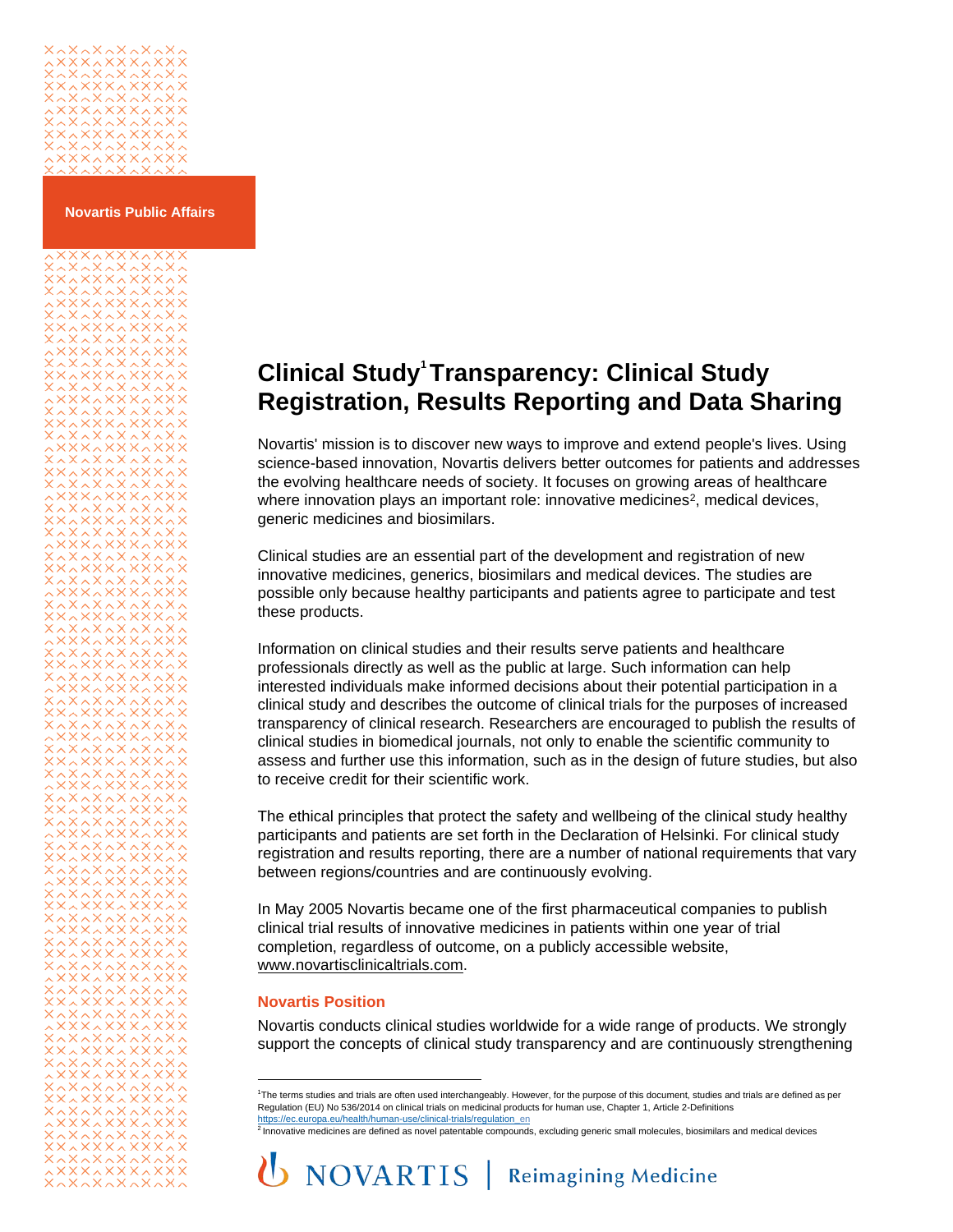# xxxxxxxxxx<br>xxxxxxxxx<br>^x^x^x^x^x

#### **Novartis Public Affairs**

xxxxxxxxxx **XAXXXAXXXAX** 

\*\*\*\*\*\*\*\*\*\*\*\*\*<br>\*\*\*\*\*\*\*\*\*\*\*\* 

<span id="page-0-0"></span>

<span id="page-0-1"></span>\*\*\*\*\*\*\*\*\*\*\*\* **xxxxxxxxxxx**x

**Clinical Stud[y](#page-0-0)<sup>1</sup> Transparency: Clinical Study Registration, Results Reporting and Data Sharing**

Novartis' mission is to discover new ways to improve and extend people's lives. Using science-based innovation, Novartis delivers better outcomes for patients and addresses the evolving healthcare needs of society. It focuses on growing areas of healthcare where innovation plays an important role: innovative medicines<sup>[2](#page-0-1)</sup>, medical devices, generic medicines and biosimilars.

Clinical studies are an essential part of the development and registration of new innovative medicines, generics, biosimilars and medical devices. The studies are possible only because healthy participants and patients agree to participate and test these products.

Information on clinical studies and their results serve patients and healthcare professionals directly as well as the public at large. Such information can help interested individuals make informed decisions about their potential participation in a clinical study and describes the outcome of clinical trials for the purposes of increased transparency of clinical research. Researchers are encouraged to publish the results of clinical studies in biomedical journals, not only to enable the scientific community to assess and further use this information, such as in the design of future studies, but also to receive credit for their scientific work.

The ethical principles that protect the safety and wellbeing of the clinical study healthy participants and patients are set forth in the Declaration of Helsinki. For clinical study registration and results reporting, there are a number of national requirements that vary between regions/countries and are continuously evolving.

In May 2005 Novartis became one of the first pharmaceutical companies to publish clinical trial results of innovative medicines in patients within one year of trial completion, regardless of outcome, on a publicly accessible website, [www.novartisclinicaltrials.com.](http://www.novartisclinicaltrials.com/)

### **Novartis Position**

Novartis conducts clinical studies worldwide for a wide range of products. We strongly support the concepts of clinical study transparency and are continuously strengthening

<sup>1</sup>The terms studies and trials are often used interchangeably. However, for the purpose of this document, studies and trials are defined as per Regulation (EU) No 536/2014 on clinical trials on medicinal products for human use, Chapter 1, Article 2-Definitions

[https://ec.europa.eu/health/human-use/clinical-trials/regulation\\_en](https://ec.europa.eu/health/human-use/clinical-trials/regulation_en)<br><sup>2</sup> Innovative medicines are defined as novel patentable compounds, excluding generic small molecules, biosimilars and medical devices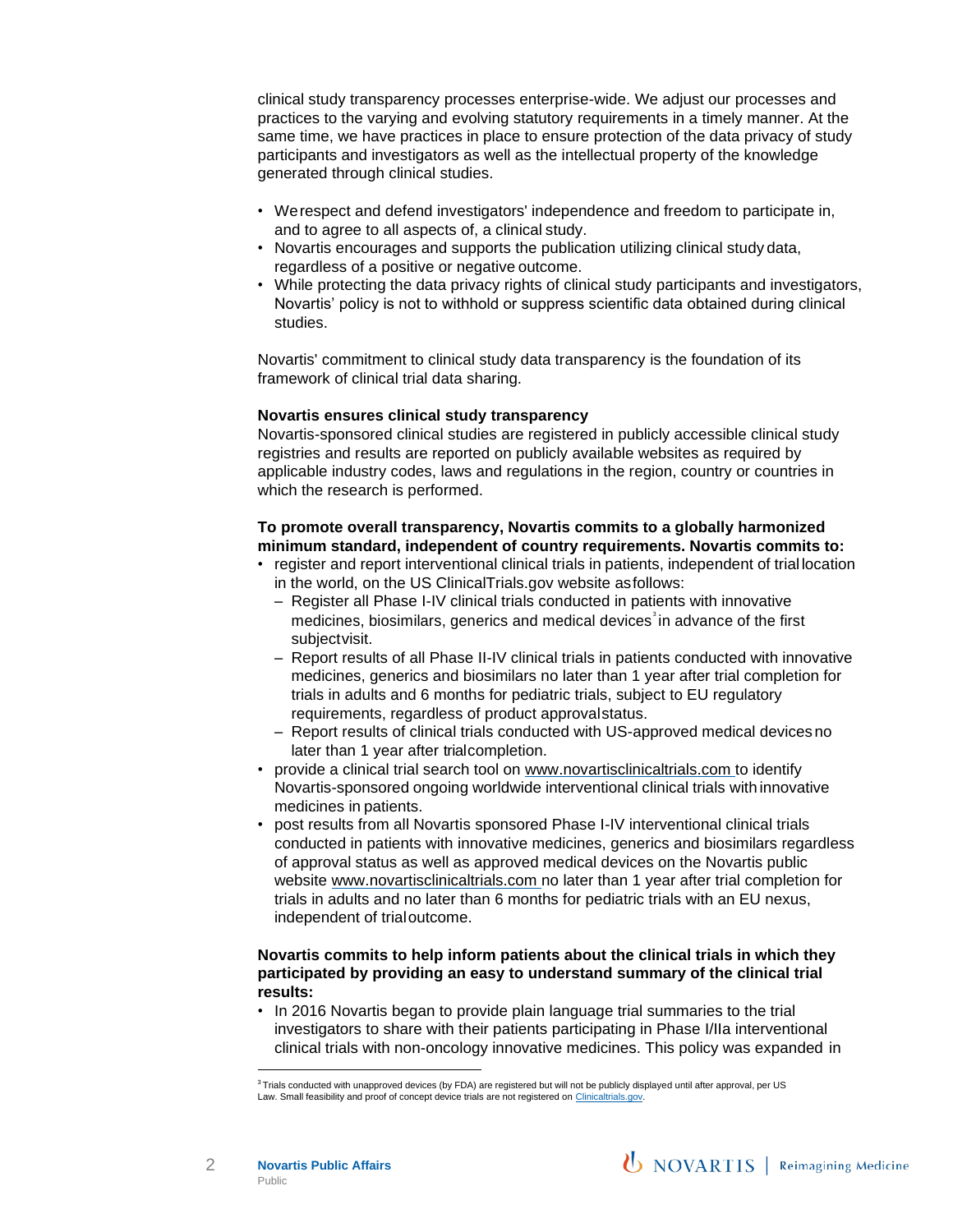clinical study transparency processes enterprise-wide. We adjust our processes and practices to the varying and evolving statutory requirements in a timely manner. At the same time, we have practices in place to ensure protection of the data privacy of study participants and investigators as well as the intellectual property of the knowledge generated through clinical studies.

- Werespect and defend investigators' independence and freedom to participate in, and to agree to all aspects of, a clinical study.
- Novartis encourages and supports the publication utilizing clinical study data, regardless of a positive or negative outcome.
- While protecting the data privacy rights of clinical study participants and investigators, Novartis' policy is not to withhold or suppress scientific data obtained during clinical studies.

Novartis' commitment to clinical study data transparency is the foundation of its framework of clinical trial data sharing.

#### **Novartis ensures clinical study transparency**

Novartis-sponsored clinical studies are registered in publicly accessible clinical study registries and results are reported on publicly available websites as required by applicable industry codes, laws and regulations in the region, country or countries in which the research is performed.

# **To promote overall transparency, Novartis commits to a globally harmonized minimum standard, independent of country requirements. Novartis commits to:**

- register and report interventional clinical trials in patients, independent of trial location in the world, on the US ClinicalTrials.gov website asfollows:
	- Register all Phase I-IV clinical trials conducted in patients with innovative medicine[s](#page-1-0), biosimilars, generics and medical devices<sup>3</sup> in advance of the first subjectvisit.
	- Report results of all Phase II-IV clinical trials in patients conducted with innovative medicines, generics and biosimilars no later than 1 year after trial completion for trials in adults and 6 months for pediatric trials, subject to EU regulatory requirements, regardless of product approvalstatus.
	- Report results of clinical trials conducted with US-approved medical devicesno later than 1 year after trialcompletion.
- provide a clinical trial search tool on [www.novartisclinicaltrials.com to](http://www.novartisclinicaltrials.com/) identify Novartis-sponsored ongoing worldwide interventional clinical trials with innovative medicines in patients.
- post results from all Novartis sponsored Phase I-IV interventional clinical trials conducted in patients with innovative medicines, generics and biosimilars regardless of approval status as well as approved medical devices on the Novartis public website [www.novartisclinicaltrials.com n](http://www.novartisclinicaltrials.com/)o later than 1 year after trial completion for trials in adults and no later than 6 months for pediatric trials with an EU nexus, independent of trialoutcome.

## **Novartis commits to help inform patients about the clinical trials in which they participated by providing an easy to understand summary of the clinical trial results:**

• In 2016 Novartis began to provide plain language trial summaries to the trial investigators to share with their patients participating in Phase I/IIa interventional clinical trials with non-oncology innovative medicines. This policy was expanded in



<span id="page-1-0"></span><sup>&</sup>lt;sup>3</sup>Trials conducted with unapproved devices (by FDA) are registered but will not be publicly displayed until after approval, per US Law. Small feasibility and proof of concept device trials are not registered o[n Clinicaltrials.gov.](https://www.clinicaltrials.gov/)